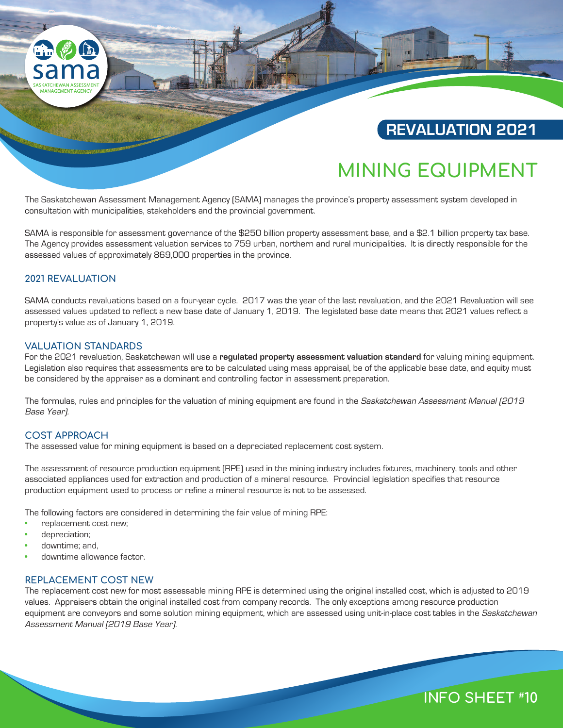# **REVALUATION 2021**

# **MINING EQUIPMENT**

The Saskatchewan Assessment Management Agency (SAMA) manages the province's property assessment system developed in consultation with municipalities, stakeholders and the provincial government.

SAMA is responsible for assessment governance of the \$250 billion property assessment base, and a \$2.1 billion property tax base. The Agency provides assessment valuation services to 759 urban, northern and rural municipalities. It is directly responsible for the assessed values of approximately 869,000 properties in the province.

# **2021 REVALUATION**

**A** 

SAMA conducts revaluations based on a four-year cycle. 2017 was the year of the last revaluation, and the 2021 Revaluation will see assessed values updated to reflect a new base date of January 1, 2019. The legislated base date means that 2021 values reflect a property's value as of January 1, 2019.

#### **VALUATION STANDARDS**

For the 2021 revaluation, Saskatchewan will use a **regulated property assessment valuation standard** for valuing mining equipment. Legislation also requires that assessments are to be calculated using mass appraisal, be of the applicable base date, and equity must be considered by the appraiser as a dominant and controlling factor in assessment preparation.

The formulas, rules and principles for the valuation of mining equipment are found in the Saskatchewan Assessment Manual (2019 Base Year).

# **COST APPROACH**

The assessed value for mining equipment is based on a depreciated replacement cost system.

The assessment of resource production equipment (RPE) used in the mining industry includes fixtures, machinery, tools and other associated appliances used for extraction and production of a mineral resource. Provincial legislation specifies that resource production equipment used to process or refine a mineral resource is not to be assessed.

The following factors are considered in determining the fair value of mining RPE:

- replacement cost new;
- depreciation;
- downtime; and,
- downtime allowance factor.

#### **REPLACEMENT COST NEW**

The replacement cost new for most assessable mining RPE is determined using the original installed cost, which is adjusted to 2019 values. Appraisers obtain the original installed cost from company records. The only exceptions among resource production equipment are conveyors and some solution mining equipment, which are assessed using unit-in-place cost tables in the Saskatchewan Assessment Manual (2019 Base Year).